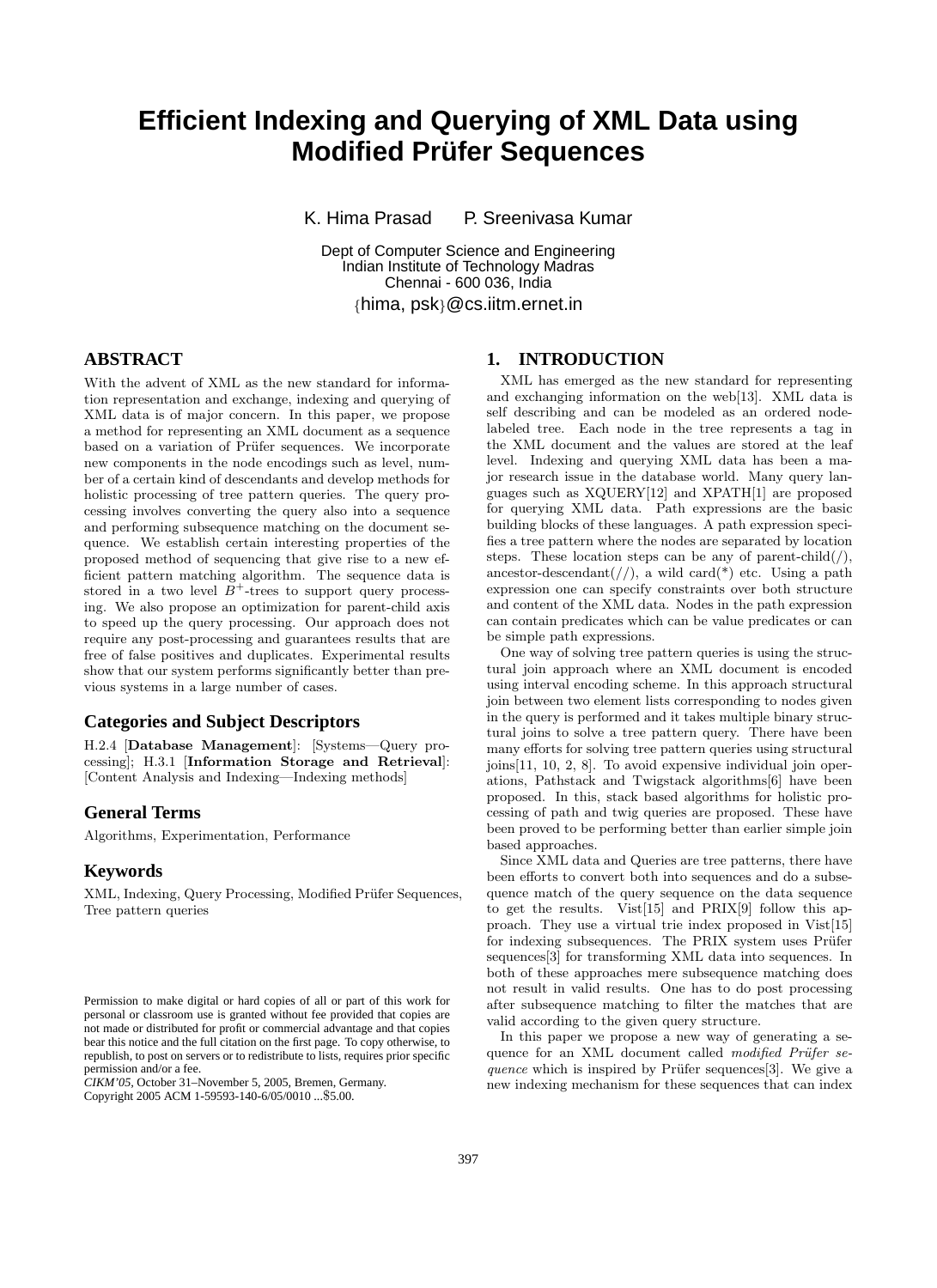# **Efficient Indexing and Querying of XML Data using Modified Prüfer Sequences**

K. Hima Prasad P. Sreenivasa Kumar

Dept of Computer Science and Engineering Indian Institute of Technology Madras Chennai - 600 036, India {hima, psk}@cs.iitm.ernet.in

# **ABSTRACT**

With the advent of XML as the new standard for information representation and exchange, indexing and querying of XML data is of major concern. In this paper, we propose a method for representing an XML document as a sequence based on a variation of Prüfer sequences. We incorporate new components in the node encodings such as level, number of a certain kind of descendants and develop methods for holistic processing of tree pattern queries. The query processing involves converting the query also into a sequence and performing subsequence matching on the document sequence. We establish certain interesting properties of the proposed method of sequencing that give rise to a new efficient pattern matching algorithm. The sequence data is stored in a two level  $B^+$ -trees to support query processing. We also propose an optimization for parent-child axis to speed up the query processing. Our approach does not require any post-processing and guarantees results that are free of false positives and duplicates. Experimental results show that our system performs significantly better than previous systems in a large number of cases.

# **Categories and Subject Descriptors**

H.2.4 [Database Management]: [Systems—Query processing]; H.3.1 [Information Storage and Retrieval]: [Content Analysis and Indexing—Indexing methods]

# **General Terms**

Algorithms, Experimentation, Performance

# **Keywords**

XML, Indexing, Query Processing, Modified Prüfer Sequences, Tree pattern queries

Copyright 2005 ACM 1-59593-140-6/05/0010 ...\$5.00.

# **1. INTRODUCTION**

XML has emerged as the new standard for representing and exchanging information on the web[13]. XML data is self describing and can be modeled as an ordered nodelabeled tree. Each node in the tree represents a tag in the XML document and the values are stored at the leaf level. Indexing and querying XML data has been a major research issue in the database world. Many query languages such as XQUERY[12] and XPATH[1] are proposed for querying XML data. Path expressions are the basic building blocks of these languages. A path expression specifies a tree pattern where the nodes are separated by location steps. These location steps can be any of parent-child $($  $),$ ancestor-descendant(//), a wild card(\*) etc. Using a path expression one can specify constraints over both structure and content of the XML data. Nodes in the path expression can contain predicates which can be value predicates or can be simple path expressions.

One way of solving tree pattern queries is using the structural join approach where an XML document is encoded using interval encoding scheme. In this approach structural join between two element lists corresponding to nodes given in the query is performed and it takes multiple binary structural joins to solve a tree pattern query. There have been many efforts for solving tree pattern queries using structural joins[11, 10, 2, 8]. To avoid expensive individual join operations, Pathstack and Twigstack algorithms[6] have been proposed. In this, stack based algorithms for holistic processing of path and twig queries are proposed. These have been proved to be performing better than earlier simple join based approaches.

Since XML data and Queries are tree patterns, there have been efforts to convert both into sequences and do a subsequence match of the query sequence on the data sequence to get the results. Vist[15] and PRIX[9] follow this approach. They use a virtual trie index proposed in Vist[15] for indexing subsequences. The PRIX system uses Prüfer sequences[3] for transforming XML data into sequences. In both of these approaches mere subsequence matching does not result in valid results. One has to do post processing after subsequence matching to filter the matches that are valid according to the given query structure.

In this paper we propose a new way of generating a sequence for an XML document called modified Prüfer sequence which is inspired by Prüfer sequences [3]. We give a new indexing mechanism for these sequences that can index

Permission to make digital or hard copies of all or part of this work for personal or classroom use is granted without fee provided that copies are not made or distributed for profit or commercial advantage and that copies bear this notice and the full citation on the first page. To copy otherwise, to republish, to post on servers or to redistribute to lists, requires prior specific permission and/or a fee.

*CIKM'05,* October 31–November 5, 2005, Bremen, Germany.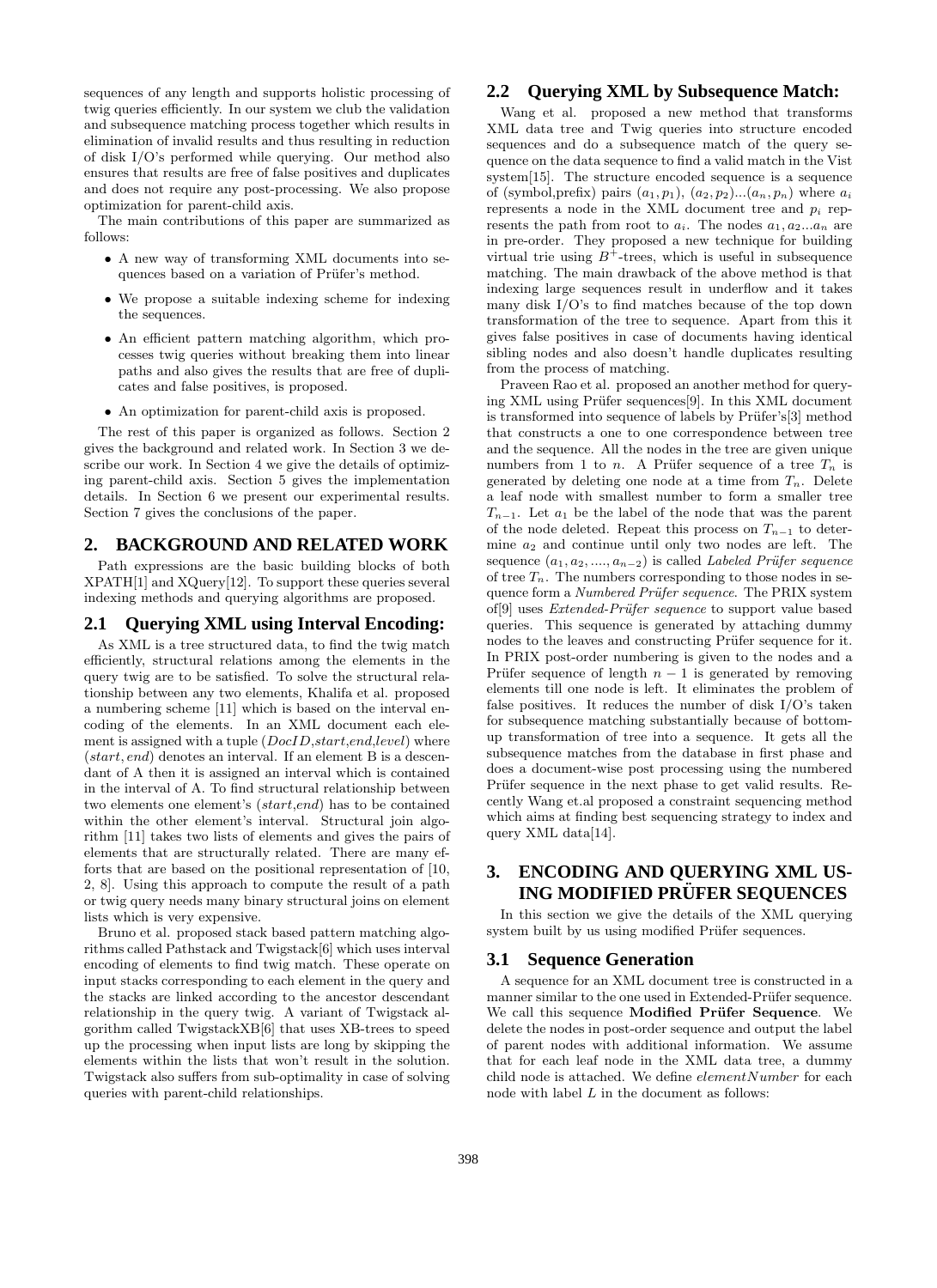sequences of any length and supports holistic processing of twig queries efficiently. In our system we club the validation and subsequence matching process together which results in elimination of invalid results and thus resulting in reduction of disk I/O's performed while querying. Our method also ensures that results are free of false positives and duplicates and does not require any post-processing. We also propose optimization for parent-child axis.

The main contributions of this paper are summarized as follows:

- A new way of transforming XML documents into sequences based on a variation of Prüfer's method.
- We propose a suitable indexing scheme for indexing the sequences.
- An efficient pattern matching algorithm, which processes twig queries without breaking them into linear paths and also gives the results that are free of duplicates and false positives, is proposed.
- An optimization for parent-child axis is proposed.

The rest of this paper is organized as follows. Section 2 gives the background and related work. In Section 3 we describe our work. In Section 4 we give the details of optimizing parent-child axis. Section 5 gives the implementation details. In Section 6 we present our experimental results. Section 7 gives the conclusions of the paper.

# **2. BACKGROUND AND RELATED WORK**

Path expressions are the basic building blocks of both XPATH[1] and XQuery[12]. To support these queries several indexing methods and querying algorithms are proposed.

# **2.1 Querying XML using Interval Encoding:**

As XML is a tree structured data, to find the twig match efficiently, structural relations among the elements in the query twig are to be satisfied. To solve the structural relationship between any two elements, Khalifa et al. proposed a numbering scheme [11] which is based on the interval encoding of the elements. In an XML document each element is assigned with a tuple ( $DocID, start, end, level$ ) where  $(start, end)$  denotes an interval. If an element B is a descendant of A then it is assigned an interval which is contained in the interval of A. To find structural relationship between two elements one element's (start, end) has to be contained within the other element's interval. Structural join algorithm [11] takes two lists of elements and gives the pairs of elements that are structurally related. There are many efforts that are based on the positional representation of [10, 2, 8]. Using this approach to compute the result of a path or twig query needs many binary structural joins on element lists which is very expensive.

Bruno et al. proposed stack based pattern matching algorithms called Pathstack and Twigstack[6] which uses interval encoding of elements to find twig match. These operate on input stacks corresponding to each element in the query and the stacks are linked according to the ancestor descendant relationship in the query twig. A variant of Twigstack algorithm called TwigstackXB[6] that uses XB-trees to speed up the processing when input lists are long by skipping the elements within the lists that won't result in the solution. Twigstack also suffers from sub-optimality in case of solving queries with parent-child relationships.

# **2.2 Querying XML by Subsequence Match:**

Wang et al. proposed a new method that transforms XML data tree and Twig queries into structure encoded sequences and do a subsequence match of the query sequence on the data sequence to find a valid match in the Vist system[15]. The structure encoded sequence is a sequence of (symbol, prefix) pairs  $(a_1, p_1), (a_2, p_2)...(a_n, p_n)$  where  $a_i$ represents a node in the XML document tree and  $p_i$  represents the path from root to  $a_i$ . The nodes  $a_1, a_2...a_n$  are in pre-order. They proposed a new technique for building virtual trie using  $B^+$ -trees, which is useful in subsequence matching. The main drawback of the above method is that indexing large sequences result in underflow and it takes many disk I/O's to find matches because of the top down transformation of the tree to sequence. Apart from this it gives false positives in case of documents having identical sibling nodes and also doesn't handle duplicates resulting from the process of matching.

Praveen Rao et al. proposed an another method for querying XML using Prüfer sequences[9]. In this XML document is transformed into sequence of labels by Prüfer's[3] method that constructs a one to one correspondence between tree and the sequence. All the nodes in the tree are given unique numbers from 1 to n. A Prüfer sequence of a tree  $T_n$  is generated by deleting one node at a time from  $T_n$ . Delete a leaf node with smallest number to form a smaller tree  $T_{n-1}$ . Let  $a_1$  be the label of the node that was the parent of the node deleted. Repeat this process on  $T_{n-1}$  to determine  $a_2$  and continue until only two nodes are left. The sequence  $(a_1, a_2, \ldots, a_{n-2})$  is called Labeled Prüfer sequence of tree  $T_n$ . The numbers corresponding to those nodes in sequence form a Numbered Prüfer sequence. The PRIX system of<sup>[9]</sup> uses *Extended-Prüfer sequence* to support value based queries. This sequence is generated by attaching dummy nodes to the leaves and constructing Prüfer sequence for it. In PRIX post-order numbering is given to the nodes and a Prüfer sequence of length  $n - 1$  is generated by removing elements till one node is left. It eliminates the problem of false positives. It reduces the number of disk I/O's taken for subsequence matching substantially because of bottomup transformation of tree into a sequence. It gets all the subsequence matches from the database in first phase and does a document-wise post processing using the numbered Prüfer sequence in the next phase to get valid results. Recently Wang et.al proposed a constraint sequencing method which aims at finding best sequencing strategy to index and query XML data[14].

# **3. ENCODING AND QUERYING XML US-ING MODIFIED PRÜFER SEQUENCES**

In this section we give the details of the XML querying system built by us using modified Prüfer sequences.

# **3.1 Sequence Generation**

A sequence for an XML document tree is constructed in a manner similar to the one used in Extended-Prüfer sequence. We call this sequence Modified Prüfer Sequence. We delete the nodes in post-order sequence and output the label of parent nodes with additional information. We assume that for each leaf node in the XML data tree, a dummy child node is attached. We define  $elementNumber$  for each node with label  $L$  in the document as follows: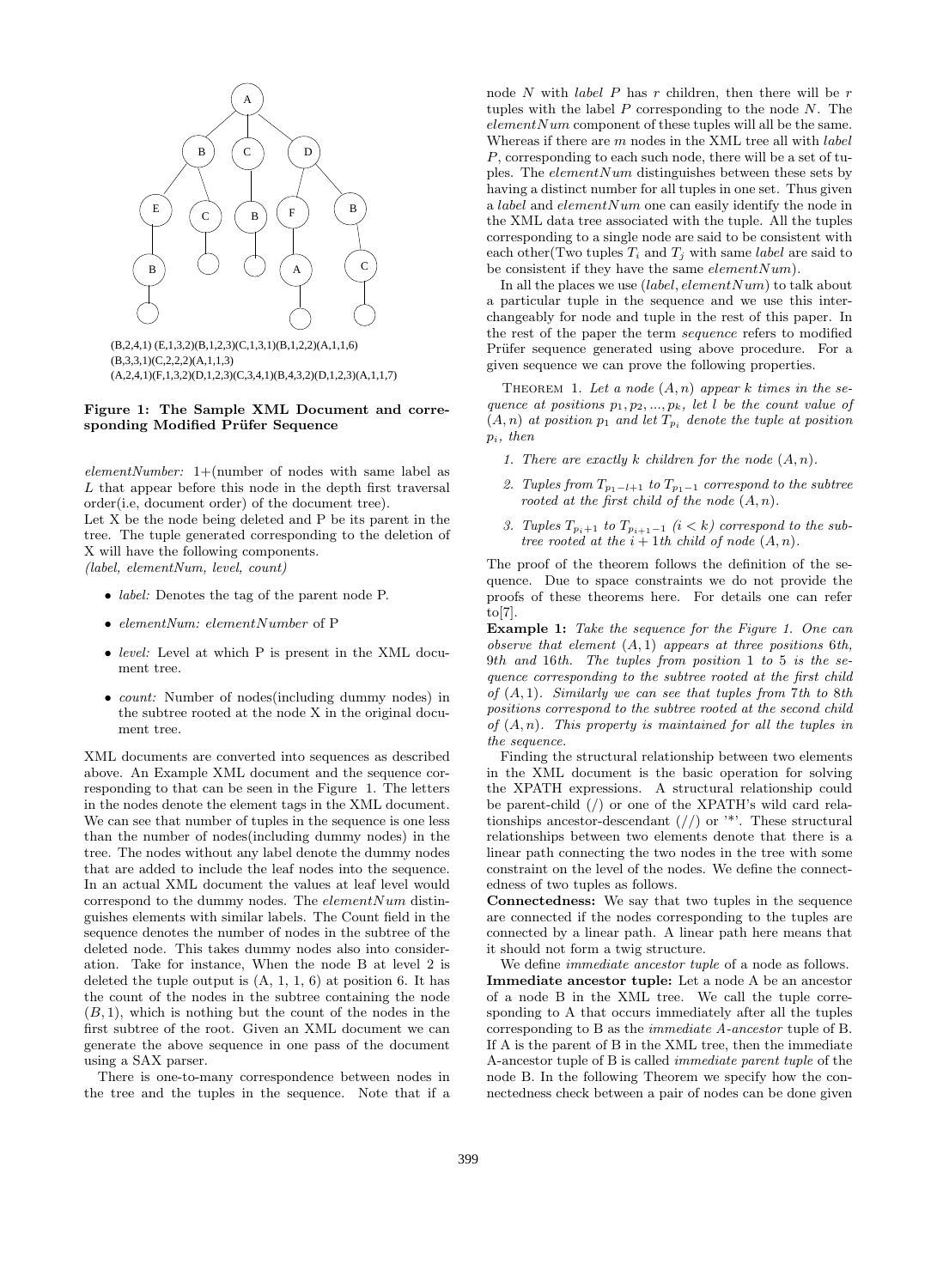

## Figure 1: The Sample XML Document and corresponding Modified Prüfer Sequence

 $elementNumber: 1+(number of nodes with same label as$ L that appear before this node in the depth first traversal order(i.e, document order) of the document tree). Let X be the node being deleted and P be its parent in the tree. The tuple generated corresponding to the deletion of X will have the following components. (label, elementNum, level, count)

• *label:* Denotes the tag of the parent node P.

- elementNum: elementNumber of P
- level: Level at which P is present in the XML document tree.
- *count:* Number of nodes(including dummy nodes) in the subtree rooted at the node X in the original document tree.

XML documents are converted into sequences as described above. An Example XML document and the sequence corresponding to that can be seen in the Figure 1. The letters in the nodes denote the element tags in the XML document. We can see that number of tuples in the sequence is one less than the number of nodes(including dummy nodes) in the tree. The nodes without any label denote the dummy nodes that are added to include the leaf nodes into the sequence. In an actual XML document the values at leaf level would correspond to the dummy nodes. The  $elementNum$  distinguishes elements with similar labels. The Count field in the sequence denotes the number of nodes in the subtree of the deleted node. This takes dummy nodes also into consideration. Take for instance, When the node B at level 2 is deleted the tuple output is  $(A, 1, 1, 6)$  at position 6. It has the count of the nodes in the subtree containing the node  $(B, 1)$ , which is nothing but the count of the nodes in the first subtree of the root. Given an XML document we can generate the above sequence in one pass of the document using a SAX parser.

There is one-to-many correspondence between nodes in the tree and the tuples in the sequence. Note that if a

node N with *label P* has r children, then there will be r tuples with the label  $P$  corresponding to the node  $N$ . The  $elementNum$  component of these tuples will all be the same. Whereas if there are  $m$  nodes in the XML tree all with  $label$ P, corresponding to each such node, there will be a set of tuples. The  $elementNum$  distinguishes between these sets by having a distinct number for all tuples in one set. Thus given a label and elementNum one can easily identify the node in the XML data tree associated with the tuple. All the tuples corresponding to a single node are said to be consistent with each other(Two tuples  $T_i$  and  $T_j$  with same *label* are said to be consistent if they have the same  $elementNum$ .

In all the places we use  $(label, elementNum)$  to talk about a particular tuple in the sequence and we use this interchangeably for node and tuple in the rest of this paper. In the rest of the paper the term sequence refers to modified Prüfer sequence generated using above procedure. For a given sequence we can prove the following properties.

THEOREM 1. Let a node  $(A, n)$  appear k times in the sequence at positions  $p_1, p_2, ..., p_k$ , let *l* be the count value of  $(A, n)$  at position  $p_1$  and let  $T_{p_i}$  denote the tuple at position  $p_i$ , then

- 1. There are exactly k children for the node  $(A, n)$ .
- 2. Tuples from  $T_{p_1-l+1}$  to  $T_{p_1-1}$  correspond to the subtree rooted at the first child of the node  $(A, n)$ .
- 3. Tuples  $T_{p_i+1}$  to  $T_{p_{i+1}-1}$   $(i < k)$  correspond to the subtree rooted at the  $i+1$ th child of node  $(A, n)$ .

The proof of the theorem follows the definition of the sequence. Due to space constraints we do not provide the proofs of these theorems here. For details one can refer to[7].

Example 1: Take the sequence for the Figure 1. One can observe that element  $(A, 1)$  appears at three positions 6th, 9th and 16th. The tuples from position 1 to 5 is the sequence corresponding to the subtree rooted at the first child of  $(A, 1)$ . Similarly we can see that tuples from 7th to 8th positions correspond to the subtree rooted at the second child of  $(A, n)$ . This property is maintained for all the tuples in the sequence.

Finding the structural relationship between two elements in the XML document is the basic operation for solving the XPATH expressions. A structural relationship could be parent-child (/) or one of the XPATH's wild card relationships ancestor-descendant  $\left(\frac{1}{1}\right)$  or  $\cdot^*$ . These structural relationships between two elements denote that there is a linear path connecting the two nodes in the tree with some constraint on the level of the nodes. We define the connectedness of two tuples as follows.

Connectedness: We say that two tuples in the sequence are connected if the nodes corresponding to the tuples are connected by a linear path. A linear path here means that it should not form a twig structure.

We define *immediate ancestor tuple* of a node as follows. Immediate ancestor tuple: Let a node A be an ancestor of a node B in the XML tree. We call the tuple corresponding to A that occurs immediately after all the tuples corresponding to B as the immediate A-ancestor tuple of B. If A is the parent of B in the XML tree, then the immediate A-ancestor tuple of B is called immediate parent tuple of the node B. In the following Theorem we specify how the connectedness check between a pair of nodes can be done given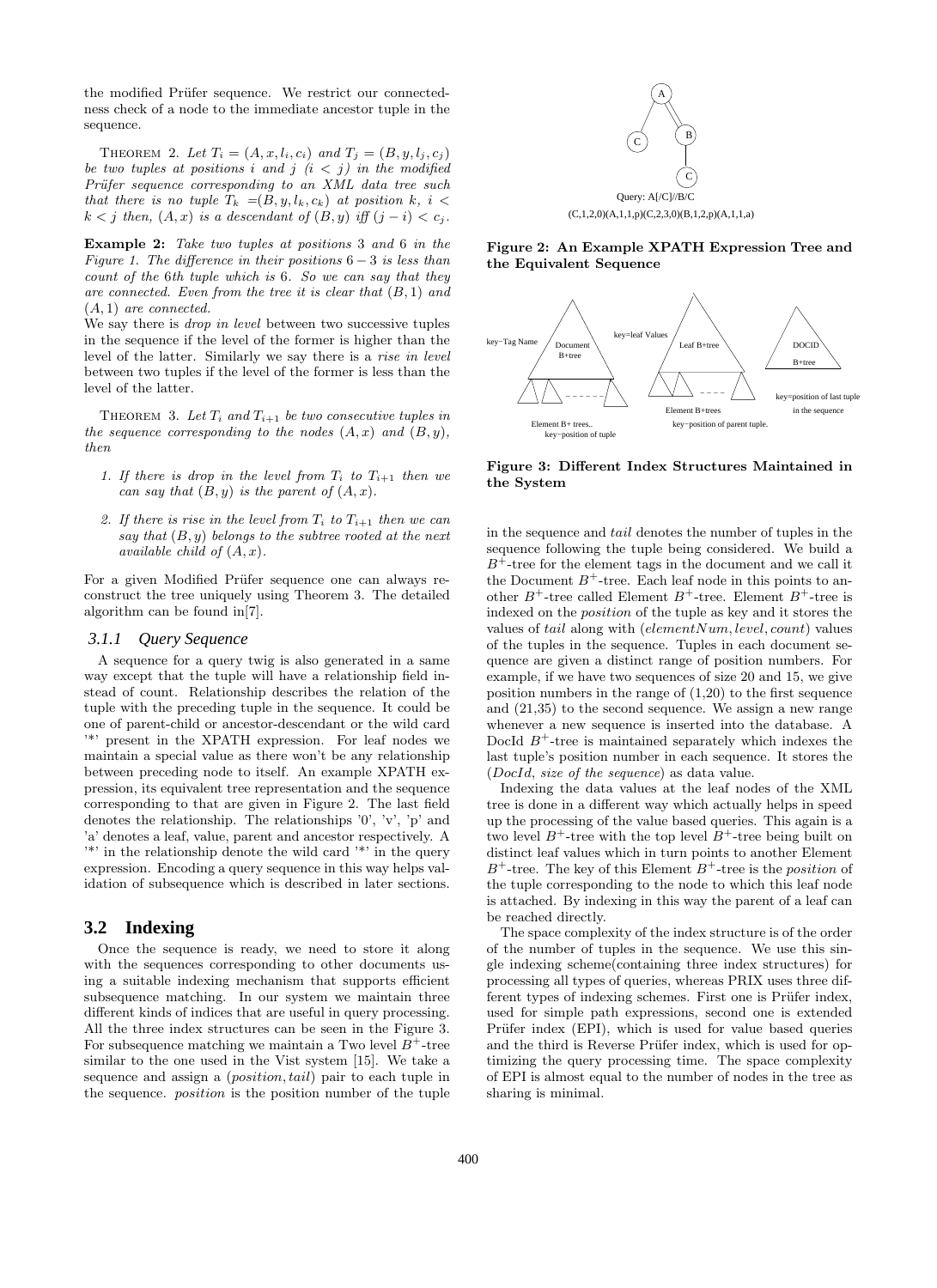the modified Prüfer sequence. We restrict our connectedness check of a node to the immediate ancestor tuple in the sequence.

THEOREM 2. Let  $T_i = (A, x, l_i, c_i)$  and  $T_j = (B, y, l_j, c_j)$ be two tuples at positions i and j  $(i < j)$  in the modified Prüfer sequence corresponding to an XML data tree such that there is no tuple  $T_k = (B, y, l_k, c_k)$  at position k,  $i <$  $k < j$  then,  $(A, x)$  is a descendant of  $(B, y)$  iff  $(j - i) < c_j$ .

Example 2: Take two tuples at positions 3 and 6 in the Figure 1. The difference in their positions  $6-3$  is less than count of the 6th tuple which is 6. So we can say that they are connected. Even from the tree it is clear that  $(B, 1)$  and (A, 1) are connected.

We say there is *drop in level* between two successive tuples in the sequence if the level of the former is higher than the level of the latter. Similarly we say there is a rise in level between two tuples if the level of the former is less than the level of the latter.

THEOREM 3. Let  $T_i$  and  $T_{i+1}$  be two consecutive tuples in the sequence corresponding to the nodes  $(A, x)$  and  $(B, y)$ , then

- 1. If there is drop in the level from  $T_i$  to  $T_{i+1}$  then we can say that  $(B, y)$  is the parent of  $(A, x)$ .
- 2. If there is rise in the level from  $T_i$  to  $T_{i+1}$  then we can say that  $(B, y)$  belongs to the subtree rooted at the next available child of  $(A, x)$ .

For a given Modified Prüfer sequence one can always reconstruct the tree uniquely using Theorem 3. The detailed algorithm can be found in[7].

## *3.1.1 Query Sequence*

A sequence for a query twig is also generated in a same way except that the tuple will have a relationship field instead of count. Relationship describes the relation of the tuple with the preceding tuple in the sequence. It could be one of parent-child or ancestor-descendant or the wild card '\*' present in the XPATH expression. For leaf nodes we maintain a special value as there won't be any relationship between preceding node to itself. An example XPATH expression, its equivalent tree representation and the sequence corresponding to that are given in Figure 2. The last field denotes the relationship. The relationships '0', 'v', 'p' and 'a' denotes a leaf, value, parent and ancestor respectively. A '\*' in the relationship denote the wild card '\*' in the query expression. Encoding a query sequence in this way helps validation of subsequence which is described in later sections.

## **3.2 Indexing**

Once the sequence is ready, we need to store it along with the sequences corresponding to other documents using a suitable indexing mechanism that supports efficient subsequence matching. In our system we maintain three different kinds of indices that are useful in query processing. All the three index structures can be seen in the Figure 3. For subsequence matching we maintain a Two level  $B^+$ -tree similar to the one used in the Vist system [15]. We take a sequence and assign a (*position*, tail) pair to each tuple in the sequence. position is the position number of the tuple



Figure 2: An Example XPATH Expression Tree and the Equivalent Sequence



Figure 3: Different Index Structures Maintained in the System

in the sequence and tail denotes the number of tuples in the sequence following the tuple being considered. We build a  $B^+$ -tree for the element tags in the document and we call it the Document  $B^+$ -tree. Each leaf node in this points to another  $B^+$ -tree called Element  $B^+$ -tree. Element  $B^+$ -tree is indexed on the position of the tuple as key and it stores the values of tail along with  $(elementNum, level, count)$  values of the tuples in the sequence. Tuples in each document sequence are given a distinct range of position numbers. For example, if we have two sequences of size 20 and 15, we give position numbers in the range of  $(1,20)$  to the first sequence and (21,35) to the second sequence. We assign a new range whenever a new sequence is inserted into the database. A DocId  $B^+$ -tree is maintained separately which indexes the last tuple's position number in each sequence. It stores the (DocId, size of the sequence) as data value.

Indexing the data values at the leaf nodes of the XML tree is done in a different way which actually helps in speed up the processing of the value based queries. This again is a two level  $B^+$ -tree with the top level  $B^+$ -tree being built on distinct leaf values which in turn points to another Element  $B^+$ -tree. The key of this Element  $B^+$ -tree is the *position* of the tuple corresponding to the node to which this leaf node is attached. By indexing in this way the parent of a leaf can be reached directly.

The space complexity of the index structure is of the order of the number of tuples in the sequence. We use this single indexing scheme(containing three index structures) for processing all types of queries, whereas PRIX uses three different types of indexing schemes. First one is Prüfer index, used for simple path expressions, second one is extended Prüfer index (EPI), which is used for value based queries and the third is Reverse Prüfer index, which is used for optimizing the query processing time. The space complexity of EPI is almost equal to the number of nodes in the tree as sharing is minimal.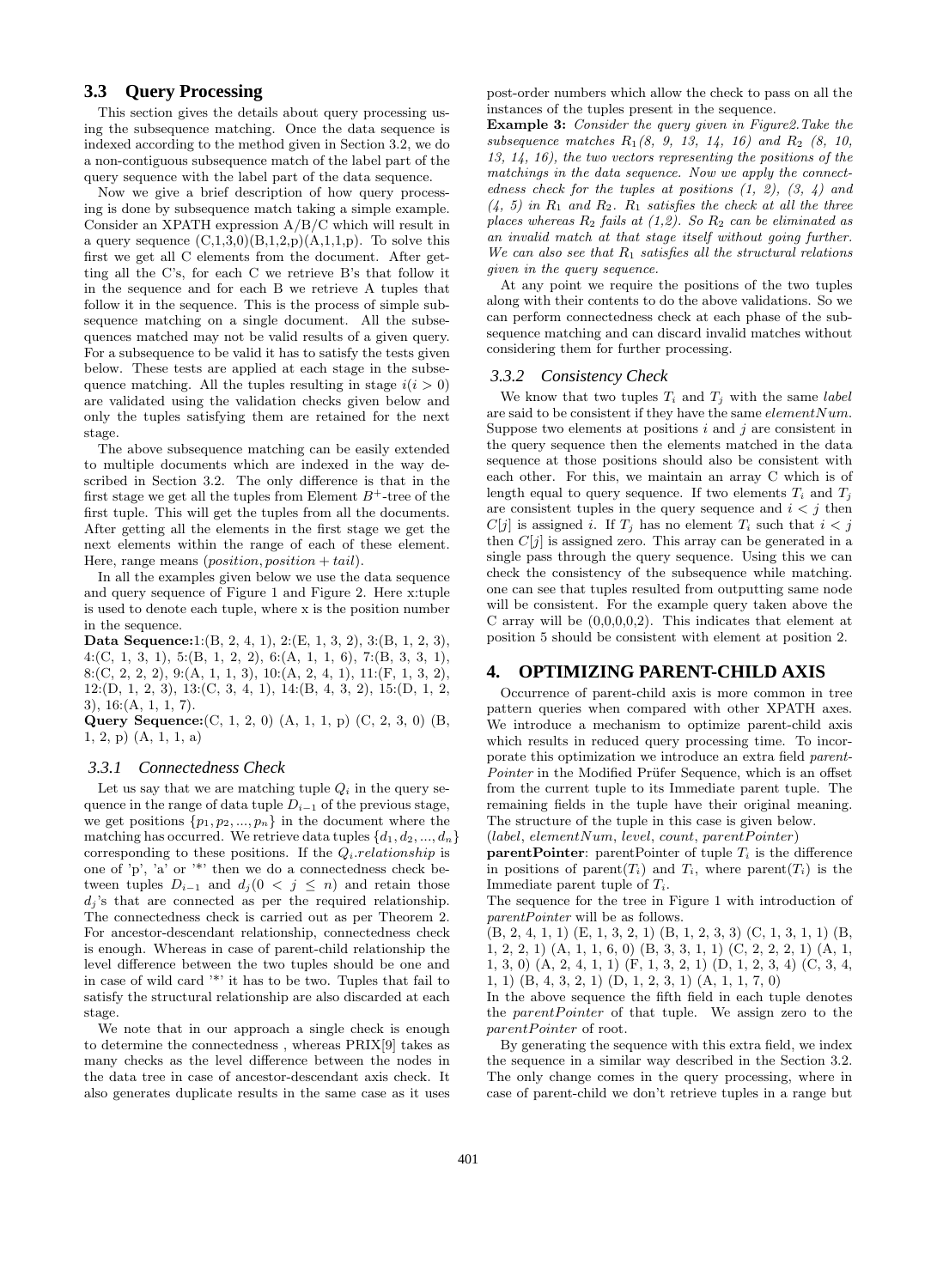# **3.3 Query Processing**

This section gives the details about query processing using the subsequence matching. Once the data sequence is indexed according to the method given in Section 3.2, we do a non-contiguous subsequence match of the label part of the query sequence with the label part of the data sequence.

Now we give a brief description of how query processing is done by subsequence match taking a simple example. Consider an XPATH expression A/B/C which will result in a query sequence  $(C,1,3,0)(B,1,2,p)(A,1,1,p)$ . To solve this first we get all C elements from the document. After getting all the C's, for each C we retrieve B's that follow it in the sequence and for each B we retrieve A tuples that follow it in the sequence. This is the process of simple subsequence matching on a single document. All the subsequences matched may not be valid results of a given query. For a subsequence to be valid it has to satisfy the tests given below. These tests are applied at each stage in the subsequence matching. All the tuples resulting in stage  $i(i > 0)$ are validated using the validation checks given below and only the tuples satisfying them are retained for the next stage.

The above subsequence matching can be easily extended to multiple documents which are indexed in the way described in Section 3.2. The only difference is that in the first stage we get all the tuples from Element  $B^+$ -tree of the first tuple. This will get the tuples from all the documents. After getting all the elements in the first stage we get the next elements within the range of each of these element. Here, range means (*position*, *position* + tail).

In all the examples given below we use the data sequence and query sequence of Figure 1 and Figure 2. Here x:tuple is used to denote each tuple, where x is the position number in the sequence.

Data Sequence:1:(B, 2, 4, 1), 2:(E, 1, 3, 2), 3:(B, 1, 2, 3), 4:(C, 1, 3, 1), 5:(B, 1, 2, 2), 6:(A, 1, 1, 6), 7:(B, 3, 3, 1), 8:(C, 2, 2, 2), 9:(A, 1, 1, 3), 10:(A, 2, 4, 1), 11:(F, 1, 3, 2), 12:(D, 1, 2, 3), 13:(C, 3, 4, 1), 14:(B, 4, 3, 2), 15:(D, 1, 2, 3), 16:(A, 1, 1, 7).

Query Sequence:  $(C, 1, 2, 0)$   $(A, 1, 1, p)$   $(C, 2, 3, 0)$   $(B,$ 1, 2, p) (A, 1, 1, a)

## *3.3.1 Connectedness Check*

Let us say that we are matching tuple  $Q_i$  in the query sequence in the range of data tuple  $D_{i-1}$  of the previous stage, we get positions  $\{p_1, p_2, ..., p_n\}$  in the document where the matching has occurred. We retrieve data tuples  $\{d_1, d_2, ..., d_n\}$ corresponding to these positions. If the  $Q_i$ . relationship is one of 'p', 'a' or '\*' then we do a connectedness check between tuples  $D_{i-1}$  and  $d_j$  (0 < j ≤ n) and retain those  $d_j$ 's that are connected as per the required relationship. The connectedness check is carried out as per Theorem 2. For ancestor-descendant relationship, connectedness check is enough. Whereas in case of parent-child relationship the level difference between the two tuples should be one and in case of wild card '\*' it has to be two. Tuples that fail to satisfy the structural relationship are also discarded at each stage.

We note that in our approach a single check is enough to determine the connectedness , whereas PRIX[9] takes as many checks as the level difference between the nodes in the data tree in case of ancestor-descendant axis check. It also generates duplicate results in the same case as it uses post-order numbers which allow the check to pass on all the instances of the tuples present in the sequence.

Example 3: Consider the query given in Figure2.Take the subsequence matches  $R_1(8, 9, 13, 14, 16)$  and  $R_2(8, 10, 16)$ 13, 14, 16), the two vectors representing the positions of the matchings in the data sequence. Now we apply the connectedness check for the tuples at positions  $(1, 2)$ ,  $(3, 4)$  and  $(4, 5)$  in  $R_1$  and  $R_2$ .  $R_1$  satisfies the check at all the three places whereas  $R_2$  fails at (1,2). So  $R_2$  can be eliminated as an invalid match at that stage itself without going further. We can also see that  $R_1$  satisfies all the structural relations given in the query sequence.

At any point we require the positions of the two tuples along with their contents to do the above validations. So we can perform connectedness check at each phase of the subsequence matching and can discard invalid matches without considering them for further processing.

#### *3.3.2 Consistency Check*

We know that two tuples  $T_i$  and  $T_j$  with the same *label* are said to be consistent if they have the same  $elementNum$ . Suppose two elements at positions  $i$  and  $j$  are consistent in the query sequence then the elements matched in the data sequence at those positions should also be consistent with each other. For this, we maintain an array C which is of length equal to query sequence. If two elements  $T_i$  and  $T_j$ are consistent tuples in the query sequence and  $i < j$  then  $C[j]$  is assigned i. If  $T_j$  has no element  $T_i$  such that  $i < j$ then  $C[i]$  is assigned zero. This array can be generated in a single pass through the query sequence. Using this we can check the consistency of the subsequence while matching. one can see that tuples resulted from outputting same node will be consistent. For the example query taken above the C array will be  $(0,0,0,0,2)$ . This indicates that element at position 5 should be consistent with element at position 2.

# **4. OPTIMIZING PARENT-CHILD AXIS**

Occurrence of parent-child axis is more common in tree pattern queries when compared with other XPATH axes. We introduce a mechanism to optimize parent-child axis which results in reduced query processing time. To incorporate this optimization we introduce an extra field parent-Pointer in the Modified Prüfer Sequence, which is an offset from the current tuple to its Immediate parent tuple. The remaining fields in the tuple have their original meaning. The structure of the tuple in this case is given below.

 $(label, elementNum, level, count, parentPointer)$ 

**parentPointer**: parentPointer of tuple  $T_i$  is the difference in positions of parent $(T_i)$  and  $T_i$ , where parent $(T_i)$  is the Immediate parent tuple of  $T_i$ .

The sequence for the tree in Figure 1 with introduction of parentPointer will be as follows.

(B, 2, 4, 1, 1) (E, 1, 3, 2, 1) (B, 1, 2, 3, 3) (C, 1, 3, 1, 1) (B, 1, 2, 2, 1) (A, 1, 1, 6, 0) (B, 3, 3, 1, 1) (C, 2, 2, 2, 1) (A, 1, 1, 3, 0) (A, 2, 4, 1, 1) (F, 1, 3, 2, 1) (D, 1, 2, 3, 4) (C, 3, 4, 1, 1) (B, 4, 3, 2, 1) (D, 1, 2, 3, 1) (A, 1, 1, 7, 0)

In the above sequence the fifth field in each tuple denotes the *parentPointer* of that tuple. We assign zero to the parentPointer of root.

By generating the sequence with this extra field, we index the sequence in a similar way described in the Section 3.2. The only change comes in the query processing, where in case of parent-child we don't retrieve tuples in a range but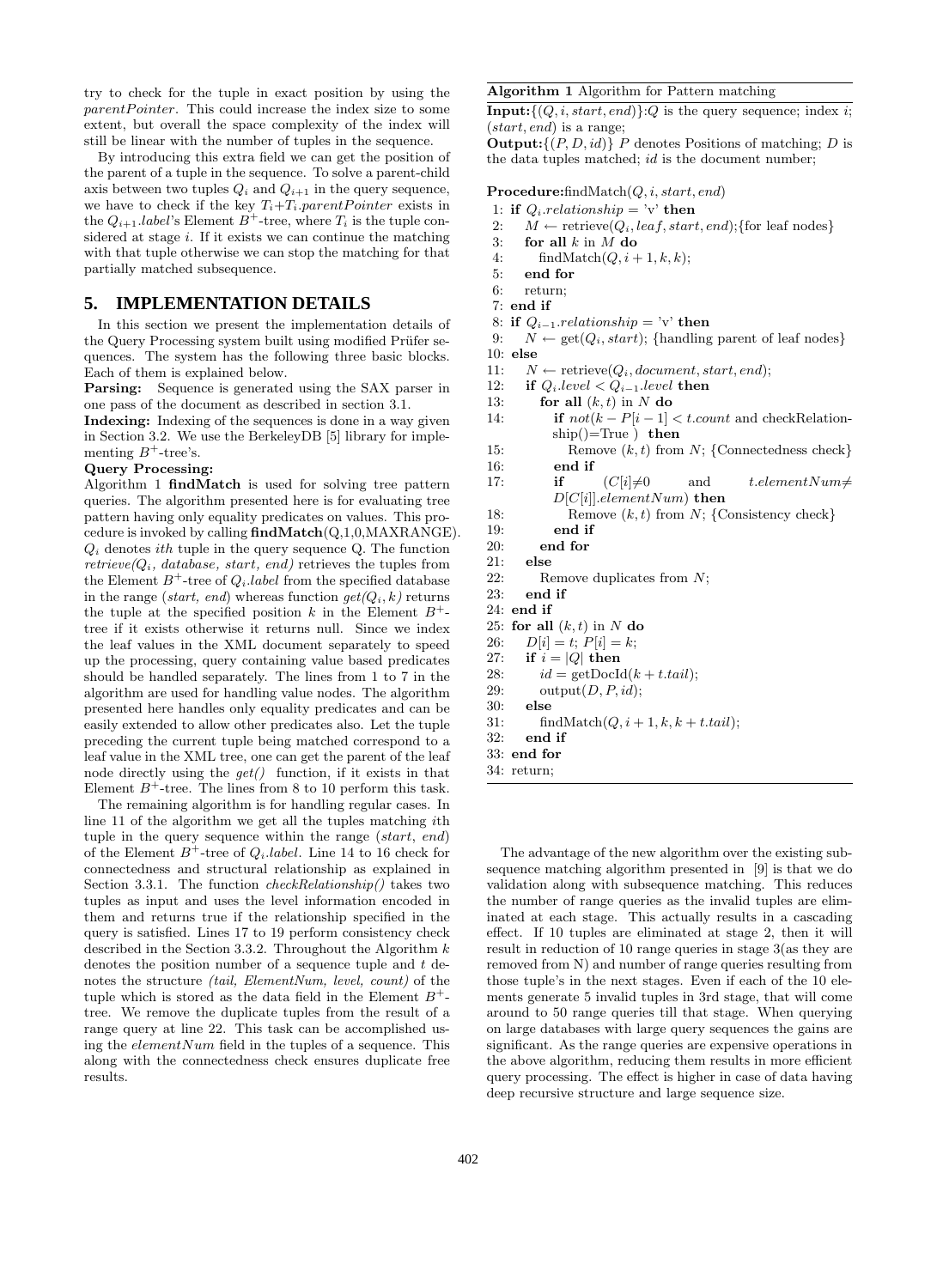try to check for the tuple in exact position by using the  $parentPointer$ . This could increase the index size to some extent, but overall the space complexity of the index will still be linear with the number of tuples in the sequence.

By introducing this extra field we can get the position of the parent of a tuple in the sequence. To solve a parent-child axis between two tuples  $Q_i$  and  $Q_{i+1}$  in the query sequence, we have to check if the key  $T_i+T_i.parentPointer$  exists in the  $Q_{i+1}.label$ 's Element  $B^+$ -tree, where  $T_i$  is the tuple considered at stage  $i$ . If it exists we can continue the matching with that tuple otherwise we can stop the matching for that partially matched subsequence.

# **5. IMPLEMENTATION DETAILS**

In this section we present the implementation details of the Query Processing system built using modified Prüfer sequences. The system has the following three basic blocks. Each of them is explained below.

Parsing: Sequence is generated using the SAX parser in one pass of the document as described in section 3.1.

Indexing: Indexing of the sequences is done in a way given in Section 3.2. We use the BerkeleyDB [5] library for implementing  $B^+$ -tree's.

## Query Processing:

Algorithm 1 findMatch is used for solving tree pattern queries. The algorithm presented here is for evaluating tree pattern having only equality predicates on values. This procedure is invoked by calling  $findMatch(Q,1,0,MAXRANGE)$ .  $Q_i$  denotes *ith* tuple in the query sequence Q. The function retrieve( $Q_i$ , database, start, end) retrieves the tuples from the Element  $B^+$ -tree of  $Q_i$ . label from the specified database in the range (start, end) whereas function  $get(Q_i, k)$  returns the tuple at the specified position  $k$  in the Element  $B^+$ tree if it exists otherwise it returns null. Since we index the leaf values in the XML document separately to speed up the processing, query containing value based predicates should be handled separately. The lines from 1 to 7 in the algorithm are used for handling value nodes. The algorithm presented here handles only equality predicates and can be easily extended to allow other predicates also. Let the tuple preceding the current tuple being matched correspond to a leaf value in the XML tree, one can get the parent of the leaf node directly using the  $get()$  function, if it exists in that Element  $B^+$ -tree. The lines from 8 to 10 perform this task.

The remaining algorithm is for handling regular cases. In line 11 of the algorithm we get all the tuples matching ith tuple in the query sequence within the range (start, end) of the Element  $B^+$ -tree of  $Q_i$ .label. Line 14 to 16 check for connectedness and structural relationship as explained in Section 3.3.1. The function *checkRelationship()* takes two tuples as input and uses the level information encoded in them and returns true if the relationship specified in the query is satisfied. Lines 17 to 19 perform consistency check described in the Section 3.3.2. Throughout the Algorithm  $k$ denotes the position number of a sequence tuple and  $t$  denotes the structure (tail, ElementNum, level, count) of the tuple which is stored as the data field in the Element  $B^+$ tree. We remove the duplicate tuples from the result of a range query at line 22. This task can be accomplished using the  $elementNum$  field in the tuples of a sequence. This along with the connectedness check ensures duplicate free results.

#### Algorithm 1 Algorithm for Pattern matching

**Input:** $\{(Q, i, start, end)\}$ : $Q$  is the query sequence; index *i*;  $(start, end)$  is a range;

**Output:**  $\{(P, D, id)\}\$  P denotes Positions of matching; D is the data tuples matched; id is the document number;

**Procedure:**findMatch $(Q, i, start, end)$ 

- 1: if  $Q_i$ *relationship* = 'v' then
- 2:  $M \leftarrow \text{retrieve}(Q_i, leaf, start, end);$  for leaf nodes
- 3: for all  $k$  in  $M$  do
- 4: findMatch $(Q, i+1, k, k);$
- 5: end for
- 6: return;
- 7: end if
- 8: if  $Q_{i-1}$ .relationship = 'v' then
- 9:  $N \leftarrow \text{get}(Q_i, start)$ ; {handling parent of leaf nodes} 10: else
- 11:  $N \leftarrow \text{retrieve}(Q_i, document, start, end);$
- 12: if  $Q_i.\text{level} < Q_{i-1}.\text{level}$  then
- 13: for all  $(k, t)$  in N do
- 14: if  $not(k P[i 1] < t.count$  and checkRelation- $\text{ship}()$ =True ) then
- 15: Remove  $(k, t)$  from N; {Connectedness check} 16: end if
- 17: **if**  $(C[i] \neq 0$  and t.elementNum $\neq$  $D[C[i]]$ .elementNum) then
- 18: Remove  $(k, t)$  from N; {Consistency check}
- 19: end if
- 20: end for
- 21: else
- 22: Remove duplicates from  $N$ ;
- 23: end if
- 24: end if
- 25: for all  $(k, t)$  in N do
- 26:  $D[i] = t; P[i] = k;$
- 27: if  $i = |Q|$  then
- 28:  $id = get\text{DocId}(k + t.tail);$
- 29: output $(D, P, id)$ ;
- 30: else
- 31: findMatch $(Q, i+1, k, k+t. tail);$
- 32: end if
- 33: end for

34: return;

The advantage of the new algorithm over the existing subsequence matching algorithm presented in [9] is that we do validation along with subsequence matching. This reduces the number of range queries as the invalid tuples are eliminated at each stage. This actually results in a cascading effect. If 10 tuples are eliminated at stage 2, then it will result in reduction of 10 range queries in stage 3(as they are removed from N) and number of range queries resulting from those tuple's in the next stages. Even if each of the 10 elements generate 5 invalid tuples in 3rd stage, that will come around to 50 range queries till that stage. When querying on large databases with large query sequences the gains are significant. As the range queries are expensive operations in the above algorithm, reducing them results in more efficient query processing. The effect is higher in case of data having deep recursive structure and large sequence size.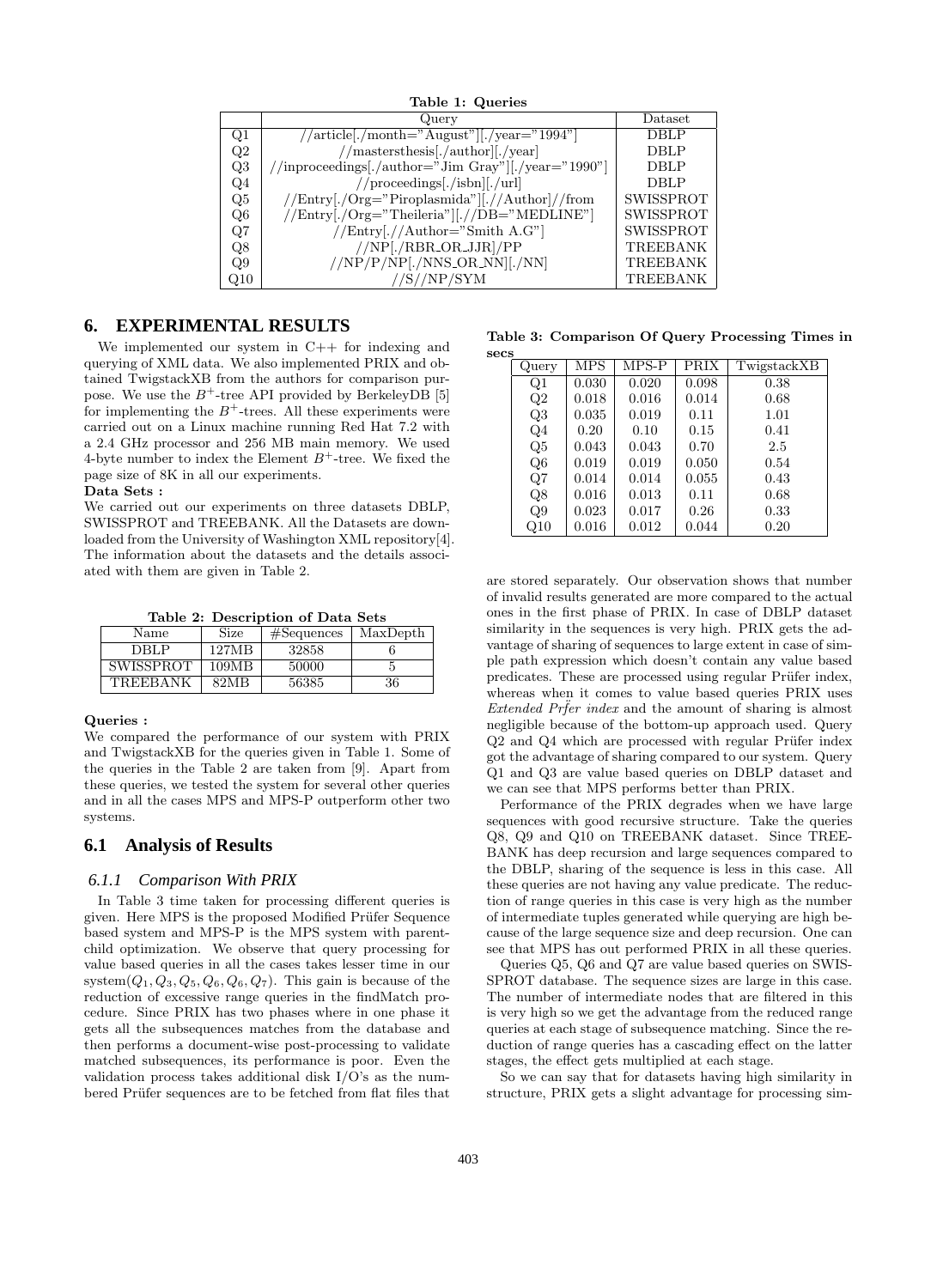| Table 1: Queries |                                                        |                 |  |  |
|------------------|--------------------------------------------------------|-----------------|--|--|
|                  | Query                                                  | Dataset         |  |  |
| Q1               | //article[./month="August"][./year="1994"]             | <b>DBLP</b>     |  |  |
| Q2               | $//mastersthesis/.[]$ authorsologies                   | <b>DBLP</b>     |  |  |
| Q3               | $//$ inproceedings[./author="Jim Gray"][./year="1990"] | <b>DBLP</b>     |  |  |
| Q4               | //proceedings[./isbn][./url]                           | <b>DBLP</b>     |  |  |
| $Q_{.}5$         | //Entry[./Org="Piroplasmida"][.//Author]//from         | SWISSPROT       |  |  |
| Q6               | $//Entry[./Org="Theileria"][.//DB="MEDLINE"]$          | SWISSPROT       |  |  |
| Q7               | //Entry[.//Author="Smith A.G"]                         | SWISSPROT       |  |  |
| Q8               | $//NP/./RBR_OR_JJR]/PP$                                | <b>TREEBANK</b> |  |  |
| Q9               | $//NP/P/NP[./NNS_OR_NN][./NN]$                         | <b>TREEBANK</b> |  |  |
| Q10              | /S//NP/SYM                                             | <b>TREEBANK</b> |  |  |

# **6. EXPERIMENTAL RESULTS**

We implemented our system in  $C++$  for indexing and querying of XML data. We also implemented PRIX and obtained TwigstackXB from the authors for comparison purpose. We use the  $B^+$ -tree API provided by BerkeleyDB [5] for implementing the  $B^+$ -trees. All these experiments were carried out on a Linux machine running Red Hat 7.2 with a 2.4 GHz processor and 256 MB main memory. We used 4-byte number to index the Element  $B^+$ -tree. We fixed the page size of 8K in all our experiments.

## Data Sets :

We carried out our experiments on three datasets DBLP, SWISSPROT and TREEBANK. All the Datasets are downloaded from the University of Washington XML repository[4]. The information about the datasets and the details associated with them are given in Table 2.

Table 2: Description of Data Sets

| Name             | Size  | #Sequences | MaxDepth |
|------------------|-------|------------|----------|
| DRLP             | 127MB | 32858      |          |
| <b>SWISSPROT</b> | 109MB | 50000      |          |
| TREERANK         | 82MB  | 56385      | 36       |

#### Queries :

We compared the performance of our system with PRIX and TwigstackXB for the queries given in Table 1. Some of the queries in the Table 2 are taken from [9]. Apart from these queries, we tested the system for several other queries and in all the cases MPS and MPS-P outperform other two systems.

# **6.1 Analysis of Results**

### *6.1.1 Comparison With PRIX*

In Table 3 time taken for processing different queries is given. Here MPS is the proposed Modified Prüfer Sequence based system and MPS-P is the MPS system with parentchild optimization. We observe that query processing for value based queries in all the cases takes lesser time in our system $(Q_1, Q_3, Q_5, Q_6, Q_6, Q_7)$ . This gain is because of the reduction of excessive range queries in the findMatch procedure. Since PRIX has two phases where in one phase it gets all the subsequences matches from the database and then performs a document-wise post-processing to validate matched subsequences, its performance is poor. Even the validation process takes additional disk I/O's as the numbered Prüfer sequences are to be fetched from flat files that

Table 3: Comparison Of Query Processing Times in

| secs |             |            |         |             |             |  |
|------|-------------|------------|---------|-------------|-------------|--|
|      | Query       | <b>MPS</b> | $MPS-P$ | <b>PRIX</b> | TwigstackXB |  |
|      | Q1          | 0.030      | 0.020   | 0.098       | 0.38        |  |
|      | Q2          | 0.018      | 0.016   | 0.014       | 0.68        |  |
|      | Q3          | 0.035      | 0.019   | 0.11        | 1.01        |  |
|      | Q4          | 0.20       | 0.10    | 0.15        | 0.41        |  |
|      | Q5          | 0.043      | 0.043   | 0.70        | 2.5         |  |
|      | Q6          | 0.019      | 0.019   | 0.050       | 0.54        |  |
|      | Q7          | 0.014      | 0.014   | 0.055       | 0.43        |  |
|      | Q8          | 0.016      | 0.013   | 0.11        | 0.68        |  |
|      | Q9          | 0.023      | 0.017   | 0.26        | 0.33        |  |
|      | $\rm_{Q10}$ | 0.016      | 0.012   | 0.044       | 0.20        |  |

are stored separately. Our observation shows that number of invalid results generated are more compared to the actual ones in the first phase of PRIX. In case of DBLP dataset similarity in the sequences is very high. PRIX gets the advantage of sharing of sequences to large extent in case of simple path expression which doesn't contain any value based predicates. These are processed using regular Prüfer index, whereas when it comes to value based queries PRIX uses Extended Prfer index and the amount of sharing is almost negligible because of the bottom-up approach used. Query  $Q2$  and  $Q4$  which are processed with regular Prüfer index got the advantage of sharing compared to our system. Query Q1 and Q3 are value based queries on DBLP dataset and we can see that MPS performs better than PRIX.

Performance of the PRIX degrades when we have large sequences with good recursive structure. Take the queries Q8, Q9 and Q10 on TREEBANK dataset. Since TREE-BANK has deep recursion and large sequences compared to the DBLP, sharing of the sequence is less in this case. All these queries are not having any value predicate. The reduction of range queries in this case is very high as the number of intermediate tuples generated while querying are high because of the large sequence size and deep recursion. One can see that MPS has out performed PRIX in all these queries.

Queries Q5, Q6 and Q7 are value based queries on SWIS-SPROT database. The sequence sizes are large in this case. The number of intermediate nodes that are filtered in this is very high so we get the advantage from the reduced range queries at each stage of subsequence matching. Since the reduction of range queries has a cascading effect on the latter stages, the effect gets multiplied at each stage.

So we can say that for datasets having high similarity in structure, PRIX gets a slight advantage for processing sim